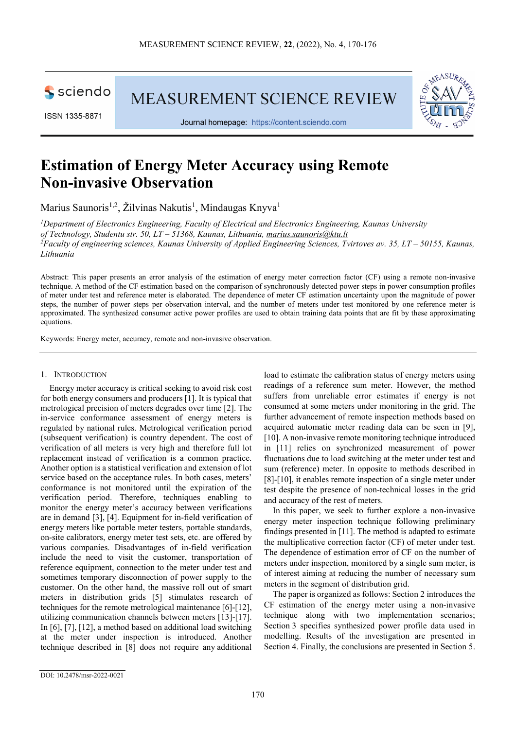

ISSN 1335-8871

MEASUREMENT SCIENCE REVIEW



Journal homepage: [https://content.sciendo.com](https://content.sciendo.com/view/journals/msr/msr-overview.xml)

# **Estimation of Energy Meter Accuracy using Remote Non-invasive Observation**

Marius Saunoris<sup>1,2</sup>, Žilvinas Nakutis<sup>1</sup>, Mindaugas Knyva<sup>1</sup>

*1 Department of Electronics Engineering, Faculty of Electrical and Electronics Engineering, Kaunas University of Technology, Studentu str. 50, LT – 51368, Kaunas, Lithuania, marius.saunoris@ktu.lt 2 Faculty of engineering sciences, Kaunas University of Applied Engineering Sciences, Tvirtoves av. 35, LT – 50155, Kaunas, Lithuania* 

Abstract: This paper presents an error analysis of the estimation of energy meter correction factor (CF) using a remote non-invasive technique. A method of the CF estimation based on the comparison of synchronously detected power steps in power consumption profiles of meter under test and reference meter is elaborated. The dependence of meter CF estimation uncertainty upon the magnitude of power steps, the number of power steps per observation interval, and the number of meters under test monitored by one reference meter is approximated. The synthesized consumer active power profiles are used to obtain training data points that are fit by these approximating equations.

Keywords: Energy meter, accuracy, remote and non-invasive observation.

## 1. INTRODUCTION

Energy meter accuracy is critical seeking to avoid risk cost for both energy consumers and producers [1]. It is typical that metrological precision of meters degrades over time [2]. The in-service conformance assessment of energy meters is regulated by national rules. Metrological verification period (subsequent verification) is country dependent. The cost of verification of all meters is very high and therefore full lot replacement instead of verification is a common practice. Another option is a statistical verification and extension of lot service based on the acceptance rules. In both cases, meters' conformance is not monitored until the expiration of the verification period. Therefore, techniques enabling to monitor the energy meter's accuracy between verifications are in demand [3], [4]. Equipment for in-field verification of energy meters like portable meter testers, portable standards, on-site calibrators, energy meter test sets, etc. are offered by various companies. Disadvantages of in-field verification include the need to visit the customer, transportation of reference equipment, connection to the meter under test and sometimes temporary disconnection of power supply to the customer. On the other hand, the massive roll out of smart meters in distribution grids [5] stimulates research of techniques for the remote metrological maintenance [6]-[12], utilizing communication channels between meters [13]-[17]. In [6], [7], [12], a method based on additional load switching at the meter under inspection is introduced. Another technique described in [8] does not require any additional

load to estimate the calibration status of energy meters using readings of a reference sum meter. However, the method suffers from unreliable error estimates if energy is not consumed at some meters under monitoring in the grid. The further advancement of remote inspection methods based on acquired automatic meter reading data can be seen in [9], [10]. A non-invasive remote monitoring technique introduced in [11] relies on synchronized measurement of power fluctuations due to load switching at the meter under test and sum (reference) meter. In opposite to methods described in [8]-[10], it enables remote inspection of a single meter under test despite the presence of non-technical losses in the grid and accuracy of the rest of meters.

In this paper, we seek to further explore a non-invasive energy meter inspection technique following preliminary findings presented in [11]. The method is adapted to estimate the multiplicative correction factor (CF) of meter under test. The dependence of estimation error of CF on the number of meters under inspection, monitored by a single sum meter, is of interest aiming at reducing the number of necessary sum meters in the segment of distribution grid.

The paper is organized as follows: Section 2 introduces the CF estimation of the energy meter using a non-invasive technique along with two implementation scenarios; Section 3 specifies synthesized power profile data used in modelling. Results of the investigation are presented in Section 4. Finally, the conclusions are presented in Section 5.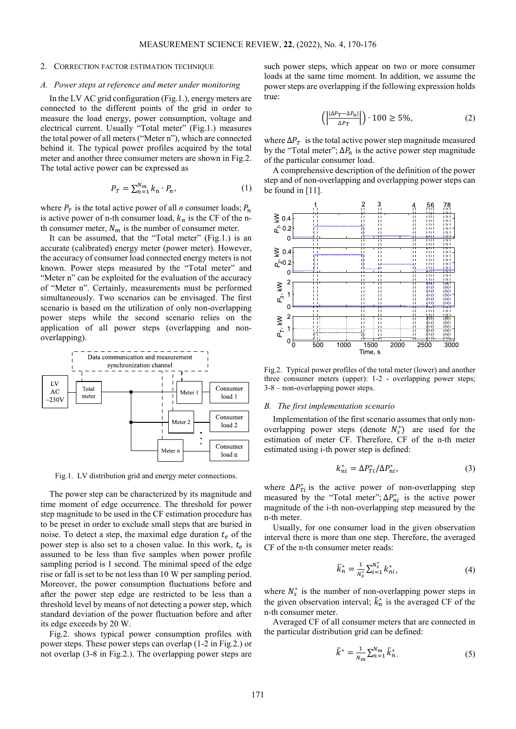## 2. CORRECTION FACTOR ESTIMATION TECHNIQUE

#### *A. Power steps at reference and meter under monitoring*

In the LV AC grid configuration (Fig.1.), energy meters are connected to the different points of the grid in order to measure the load energy, power consumption, voltage and electrical current. Usually "Total meter" (Fig.1.) measures the total power of all meters ("Meter n"), which are connected behind it. The typical power profiles acquired by the total meter and another three consumer meters are shown in Fig.2. The total active power can be expressed as

$$
P_T = \sum_{n=1}^{N_m} k_n \cdot P_n,\tag{1}
$$

where  $P_T$  is the total active power of all *n* consumer loads;  $P_n$ is active power of n-th consumer load,  $k_n$  is the CF of the nth consumer meter,  $N_m$  is the number of consumer meter.

It can be assumed, that the "Total meter" (Fig.1.) is an accurate (calibrated) energy meter (power meter). However, the accuracy of consumer load connected energy meters is not known. Power steps measured by the "Total meter" and "Meter n" can be exploited for the evaluation of the accuracy of "Meter n". Certainly, measurements must be performed simultaneously. Two scenarios can be envisaged. The first scenario is based on the utilization of only non-overlapping power steps while the second scenario relies on the application of all power steps (overlapping and nonoverlapping).



Fig.1. LV distribution grid and energy meter connections.

The power step can be characterized by its magnitude and time moment of edge occurrence. The threshold for power step magnitude to be used in the CF estimation procedure has to be preset in order to exclude small steps that are buried in noise. To detect a step, the maximal edge duration  $t_e$  of the power step is also set to a chosen value. In this work,  $t_e$  is assumed to be less than five samples when power profile sampling period is 1 second. The minimal speed of the edge rise or fall is set to be not less than 10 W per sampling period. Moreover, the power consumption fluctuations before and after the power step edge are restricted to be less than a threshold level by means of not detecting a power step, which standard deviation of the power fluctuation before and after its edge exceeds by 20 W.

Fig.2. shows typical power consumption profiles with power steps. These power steps can overlap (1-2 in Fig.2.) or not overlap (3-8 in Fig.2.). The overlapping power steps are such power steps, which appear on two or more consumer loads at the same time moment. In addition, we assume the power steps are overlapping if the following expression holds true:

$$
\left( \left| \frac{|\Delta P_T - \Delta P_n|}{\Delta P_T} \right| \right) \cdot 100 \ge 5\%,\tag{2}
$$

where  $\Delta P_T$  is the total active power step magnitude measured by the "Total meter";  $\Delta P_n$  is the active power step magnitude of the particular consumer load.

A comprehensive description of the definition of the power step and of non-overlapping and overlapping power steps can be found in [11].



Fig.2. Typical power profiles of the total meter (lower) and another three consumer meters (upper): 1-2 - overlapping power steps; 3-8 – non-overlapping power steps.

## *B. The first implementation scenario*

Implementation of the first scenario assumes that only nonoverlapping power steps (denote  $N_s^*$ ) are used for the estimation of meter CF. Therefore, CF of the n-th meter estimated using i-th power step is defined:

$$
k_{ni}^* = \Delta P_{Ti}^* / \Delta P_{ni}^*,\tag{3}
$$

where  $\Delta P_{Ti}^*$  is the active power of non-overlapping step measured by the "Total meter";  $\Delta P_{ni}^*$  is the active power magnitude of the i-th non-overlapping step measured by the n-th meter.

Usually, for one consumer load in the given observation interval there is more than one step. Therefore, the averaged CF of the n-th consumer meter reads:

$$
\bar{k}_n^* = \frac{1}{N_s^*} \sum_{i=1}^{N_s^*} k_{ni}^*,\tag{4}
$$

where  $N_s^*$  is the number of non-overlapping power steps in the given observation interval;  $k_n^*$  is the averaged CF of the n-th consumer meter.

Averaged CF of all consumer meters that are connected in the particular distribution grid can be defined:

$$
\bar{k}^* = \frac{1}{N_m} \sum_{n=1}^{N_m} \bar{k}_n^*.
$$
 (5)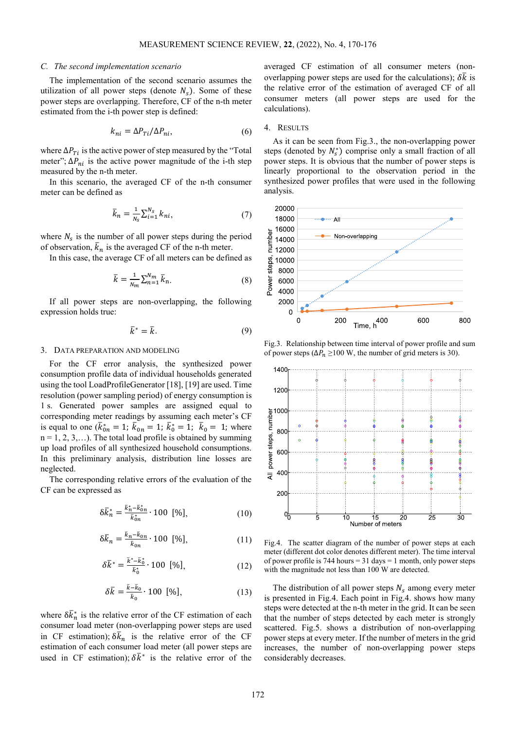#### *C. The second implementation scenario*

The implementation of the second scenario assumes the utilization of all power steps (denote  $N_s$ ). Some of these power steps are overlapping. Therefore, CF of the n-th meter estimated from the i-th power step is defined:

$$
k_{ni} = \Delta P_{Ti} / \Delta P_{ni},\tag{6}
$$

where  $\Delta P_{Ti}$  is the active power of step measured by the "Total" meter";  $\Delta P_{ni}$  is the active power magnitude of the i-th step measured by the n-th meter.

In this scenario, the averaged CF of the n-th consumer meter can be defined as

$$
\bar{k}_n = \frac{1}{N_s} \sum_{i=1}^{N_s} k_{ni},\tag{7}
$$

where  $N_s$  is the number of all power steps during the period of observation,  $\bar{k}_n$  is the averaged CF of the n-th meter.

In this case, the average CF of all meters can be defined as

$$
\bar{k} = \frac{1}{N_m} \sum_{n=1}^{N_m} \bar{k}_n.
$$
 (8)

If all power steps are non-overlapping, the following expression holds true:

$$
\bar{k}^* = \bar{k}.\tag{9}
$$

#### 3. DATA PREPARATION AND MODELING

For the CF error analysis, the synthesized power consumption profile data of individual households generated using the tool LoadProfileGenerator [18], [19] are used. Time resolution (power sampling period) of energy consumption is 1 s. Generated power samples are assigned equal to corresponding meter readings by assuming each meter's CF is equal to one  $(k_{0n}^* = 1; k_{0n} = 1; k_0^* = 1; k_0 = 1;$  where  $n = 1, 2, 3, \ldots$ ). The total load profile is obtained by summing up load profiles of all synthesized household consumptions. In this preliminary analysis, distribution line losses are neglected.

The corresponding relative errors of the evaluation of the CF can be expressed as

$$
\delta \bar{k}_n^* = \frac{\bar{k}_n^* - \bar{k}_{0n}^*}{\bar{k}_{0n}^*} \cdot 100 \, [\%], \tag{10}
$$

$$
\delta \bar{k}_n = \frac{\bar{k}_n - \bar{k}_{0n}}{\bar{k}_{0n}} \cdot 100 \, [\%],\tag{11}
$$

$$
\delta \bar{k}^* = \frac{\bar{k}^* - \bar{k}_0^*}{\bar{k}_0^*} \cdot 100 \, [\%], \tag{12}
$$

$$
\delta \bar{k} = \frac{\bar{k} - \bar{k}_0}{\bar{k}_0} \cdot 100 \, [\%], \tag{13}
$$

where  $\delta k_n^*$  is the relative error of the CF estimation of each consumer load meter (non-overlapping power steps are used in CF estimation);  $\delta \bar{k}_n$  is the relative error of the CF estimation of each consumer load meter (all power steps are used in CF estimation);  $\delta \bar{k}^*$  is the relative error of the

averaged CF estimation of all consumer meters (nonoverlapping power steps are used for the calculations);  $\delta \bar{k}$  is the relative error of the estimation of averaged CF of all consumer meters (all power steps are used for the calculations).

#### 4. RESULTS

As it can be seen from Fig.3., the non-overlapping power steps (denoted by  $N_s^*$ ) comprise only a small fraction of all power steps. It is obvious that the number of power steps is linearly proportional to the observation period in the synthesized power profiles that were used in the following analysis.



Fig.3. Relationship between time interval of power profile and sum of power steps ( $\Delta P_n \ge 100$  W, the number of grid meters is 30).



Fig.4. The scatter diagram of the number of power steps at each meter (different dot color denotes different meter). The time interval of power profile is 744 hours =  $31 \text{ days} = 1 \text{ month}$ , only power steps with the magnitude not less than 100 W are detected.

The distribution of all power steps  $N_s$  among every meter is presented in Fig.4. Each point in Fig.4. shows how many steps were detected at the n-th meter in the grid. It can be seen that the number of steps detected by each meter is strongly scattered. Fig.5. shows a distribution of non-overlapping power steps at every meter. If the number of meters in the grid increases, the number of non-overlapping power steps considerably decreases.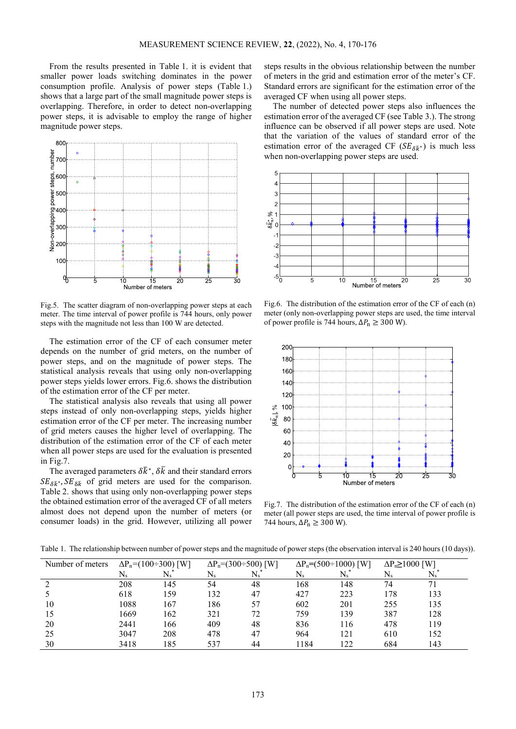From the results presented in Table 1. it is evident that smaller power loads switching dominates in the power consumption profile. Analysis of power steps (Table 1.) shows that a large part of the small magnitude power steps is overlapping. Therefore, in order to detect non-overlapping power steps, it is advisable to employ the range of higher magnitude power steps.



Fig.5. The scatter diagram of non-overlapping power steps at each meter. The time interval of power profile is 744 hours, only power steps with the magnitude not less than 100 W are detected.

The estimation error of the CF of each consumer meter depends on the number of grid meters, on the number of power steps, and on the magnitude of power steps. The statistical analysis reveals that using only non-overlapping power steps yields lower errors. Fig.6. shows the distribution of the estimation error of the CF per meter.

The statistical analysis also reveals that using all power steps instead of only non-overlapping steps, yields higher estimation error of the CF per meter. The increasing number of grid meters causes the higher level of overlapping. The distribution of the estimation error of the CF of each meter when all power steps are used for the evaluation is presented in Fig.7.

The averaged parameters  $\delta \bar{k}^*$ ,  $\delta \bar{k}$  and their standard errors  $SE_{\delta \bar{k}}$ ,  $SE_{\delta \bar{k}}$  of grid meters are used for the comparison. Table 2. shows that using only non-overlapping power steps the obtained estimation error of the averaged CF of all meters almost does not depend upon the number of meters (or consumer loads) in the grid. However, utilizing all power steps results in the obvious relationship between the number of meters in the grid and estimation error of the meter's CF. Standard errors are significant for the estimation error of the averaged CF when using all power steps.

The number of detected power steps also influences the estimation error of the averaged CF (see Table 3.). The strong influence can be observed if all power steps are used. Note that the variation of the values of standard error of the estimation error of the averaged CF ( $SE_{\delta \bar{k}}$  ) is much less when non-overlapping power steps are used.



Fig.6. The distribution of the estimation error of the CF of each (n) meter (only non-overlapping power steps are used, the time interval of power profile is 744 hours,  $\Delta P_n \geq 300$  W).



Fig.7. The distribution of the estimation error of the CF of each (n) meter (all power steps are used, the time interval of power profile is 744 hours,  $\Delta P_n \geq 300$  W).

| Number of meters | $\Delta P_n = (100 \div 300)$ [W] |    | $\Delta P_n = (300 \div 500)$ [W] |    | $\Delta P_n = (500 \div 1000)$ [W] |            | $\Delta P_n \ge 1000$ [W] |     |
|------------------|-----------------------------------|----|-----------------------------------|----|------------------------------------|------------|---------------------------|-----|
|                  |                                   |    |                                   |    |                                    |            |                           |     |
|                  | 208                               | 45 |                                   | 48 | 168                                | 148        |                           |     |
|                  | 618                               | 50 | $\sim$                            |    | 42 <sup>7</sup>                    | າາາ<br>44. | $\tau c$                  | 122 |

 1088 167 186 57 602 201 255 135 1669 162 321 72 759 139 387 128 2441 166 409 48 836 116 478 119 3047 208 478 47 964 121 610 152 3418 185 537 44 1184 122 684 143

Table 1. The relationship between number of power steps and the magnitude of power steps (the observation interval is 240 hours (10 days)).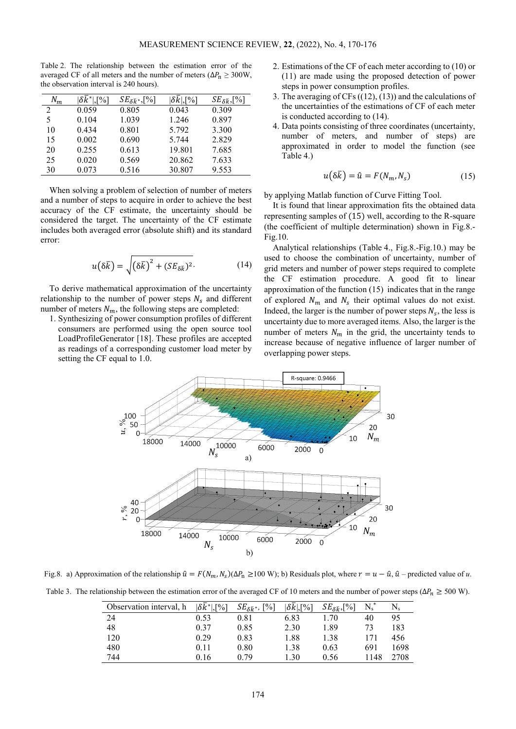Table 2. The relationship between the estimation error of the averaged CF of all meters and the number of meters ( $\Delta P_n \geq 300$ W, the observation interval is 240 hours).

| $N_m$ | $\mathsf{L}\mathsf{P}'_0$ | $SE_{\delta \bar{k}^*,}[\%]$ | $\delta k$ , [%] | $SE_{\delta \bar{k}}$ , [%] |
|-------|---------------------------|------------------------------|------------------|-----------------------------|
| 2     | 0.059                     | 0.805                        | 0.043            | 0.309                       |
| 5     | 0.104                     | 1.039                        | 1.246            | 0.897                       |
| 10    | 0.434                     | 0.801                        | 5.792            | 3.300                       |
| 15    | 0.002                     | 0.690                        | 5.744            | 2.829                       |
| 20    | 0.255                     | 0.613                        | 19.801           | 7.685                       |
| 25    | 0.020                     | 0.569                        | 20.862           | 7.633                       |
| 30    | 0.073                     | 0.516                        | 30.807           | 9.553                       |

When solving a problem of selection of number of meters and a number of steps to acquire in order to achieve the best accuracy of the CF estimate, the uncertainty should be considered the target. The uncertainty of the CF estimate includes both averaged error (absolute shift) and its standard error:

$$
u(\delta \bar{k}) = \sqrt{(\delta \bar{k})^2 + (SE_{\delta \bar{k}})^2}.
$$
 (14)

To derive mathematical approximation of the uncertainty relationship to the number of power steps  $N_s$  and different number of meters  $N_m$ , the following steps are completed:

1. Synthesizing of power consumption profiles of different consumers are performed using the open source tool LoadProfileGenerator [18]. These profiles are accepted as readings of a corresponding customer load meter by setting the CF equal to 1.0.

- 2. Estimations of the CF of each meter according to (10) or (11) are made using the proposed detection of power steps in power consumption profiles.
- 3. The averaging of CFs ((12), (13)) and the calculations of the uncertainties of the estimations of CF of each meter is conducted according to (14).
- 4. Data points consisting of three coordinates (uncertainty, number of meters, and number of steps) are approximated in order to model the function (see Table 4.)

$$
u(\delta \bar{k}) = \hat{u} = F(N_m, N_s) \tag{15}
$$

by applying Matlab function of Curve Fitting Tool.

It is found that linear approximation fits the obtained data representing samples of (15) well, according to the R-square (the coefficient of multiple determination) shown in Fig.8.- Fig.10.

Analytical relationships (Table 4., Fig.8.-Fig.10.) may be used to choose the combination of uncertainty, number of grid meters and number of power steps required to complete the CF estimation procedure. A good fit to linear approximation of the function (15) indicates that in the range of explored  $N_m$  and  $N_s$  their optimal values do not exist. Indeed, the larger is the number of power steps  $N_s$ , the less is uncertainty due to more averaged items. Also, the larger is the number of meters  $N_m$  in the grid, the uncertainty tends to increase because of negative influence of larger number of overlapping power steps.



Fig.8. a) Approximation of the relationship  $\hat{u} = F(N_m, N_s)(\Delta P_n \ge 100 \text{ W})$ ; b) Residuals plot, where  $r = u - \hat{u}$ ,  $\hat{u}$  – predicted value of *u*. Table 3. The relationship between the estimation error of the averaged CF of 10 meters and the number of power steps ( $\Delta P_n \ge 500$  W).

| Observation interval, h | $ \delta \bar{k}^* $ ,[%] | $\lceil\% \rceil$<br>$SE_{\delta \bar{k}^*}$ , [ | $ \delta \bar{k} $ ,[%] | $SE_{\delta \bar{k}}$ , [%] | $\rm N_s$ |      |
|-------------------------|---------------------------|--------------------------------------------------|-------------------------|-----------------------------|-----------|------|
| 24                      | 0.53                      | 0.81                                             | 6.83                    | .70                         | 40        | 95   |
| 48                      | 0.37                      | 0.85                                             | 2.30                    | 1.89                        | 73        | 183  |
| 120                     | 0.29                      | 0.83                                             | 1.88                    | 1.38                        | 171       | 456  |
| 480                     | 0.11                      | 0.80                                             | 1.38                    | 0.63                        | 691       | 1698 |
| 744                     | 0.16                      | 0.79                                             | .30                     | 0.56                        | 1148      | 2708 |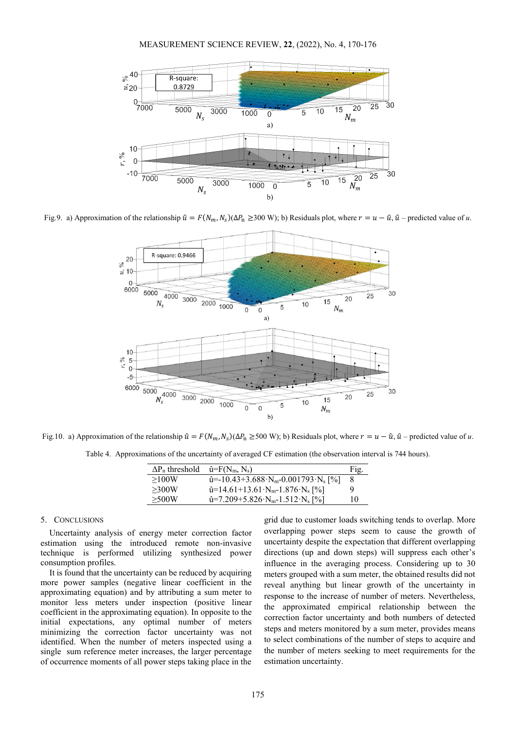

Fig.9. a) Approximation of the relationship  $\hat{u} = F(N_m, N_s)(\Delta P_n \ge 300 \text{ W})$ ; b) Residuals plot, where  $r = u - \hat{u}$ ,  $\hat{u}$  – predicted value of *u*.



Fig.10. a) Approximation of the relationship  $\hat{u} = F(N_m, N_s)(\Delta P_n \ge 500 \text{ W})$ ; b) Residuals plot, where  $r = u - \hat{u}$ ,  $\hat{u}$  – predicted value of *u*.

Table 4. Approximations of the uncertainty of averaged CF estimation (the observation interval is 744 hours).

| $\Delta P_n$ threshold | $\hat{u} = F(N_m, N_s)$                                              | Fig. |
|------------------------|----------------------------------------------------------------------|------|
| >100W                  | $\hat{u}$ = -10.43+3.688 N <sub>m</sub> -0.001793 N <sub>s</sub> [%] |      |
| >300W                  | $\hat{u}$ =14.61+13.61·N <sub>m</sub> -1.876·N <sub>s</sub> [%]      | Q,   |
| >500W                  | $\hat{u}$ =7.209+5.826·N <sub>m</sub> -1.512·N <sub>s</sub> [%]      | 10   |

#### 5. CONCLUSIONS

Uncertainty analysis of energy meter correction factor estimation using the introduced remote non-invasive technique is performed utilizing synthesized power consumption profiles.

It is found that the uncertainty can be reduced by acquiring more power samples (negative linear coefficient in the approximating equation) and by attributing a sum meter to monitor less meters under inspection (positive linear coefficient in the approximating equation). In opposite to the initial expectations, any optimal number of meters minimizing the correction factor uncertainty was not identified. When the number of meters inspected using a single sum reference meter increases, the larger percentage of occurrence moments of all power steps taking place in the

grid due to customer loads switching tends to overlap. More overlapping power steps seem to cause the growth of uncertainty despite the expectation that different overlapping directions (up and down steps) will suppress each other's influence in the averaging process. Considering up to 30 meters grouped with a sum meter, the obtained results did not reveal anything but linear growth of the uncertainty in response to the increase of number of meters. Nevertheless, the approximated empirical relationship between the correction factor uncertainty and both numbers of detected steps and meters monitored by a sum meter, provides means to select combinations of the number of steps to acquire and the number of meters seeking to meet requirements for the estimation uncertainty.